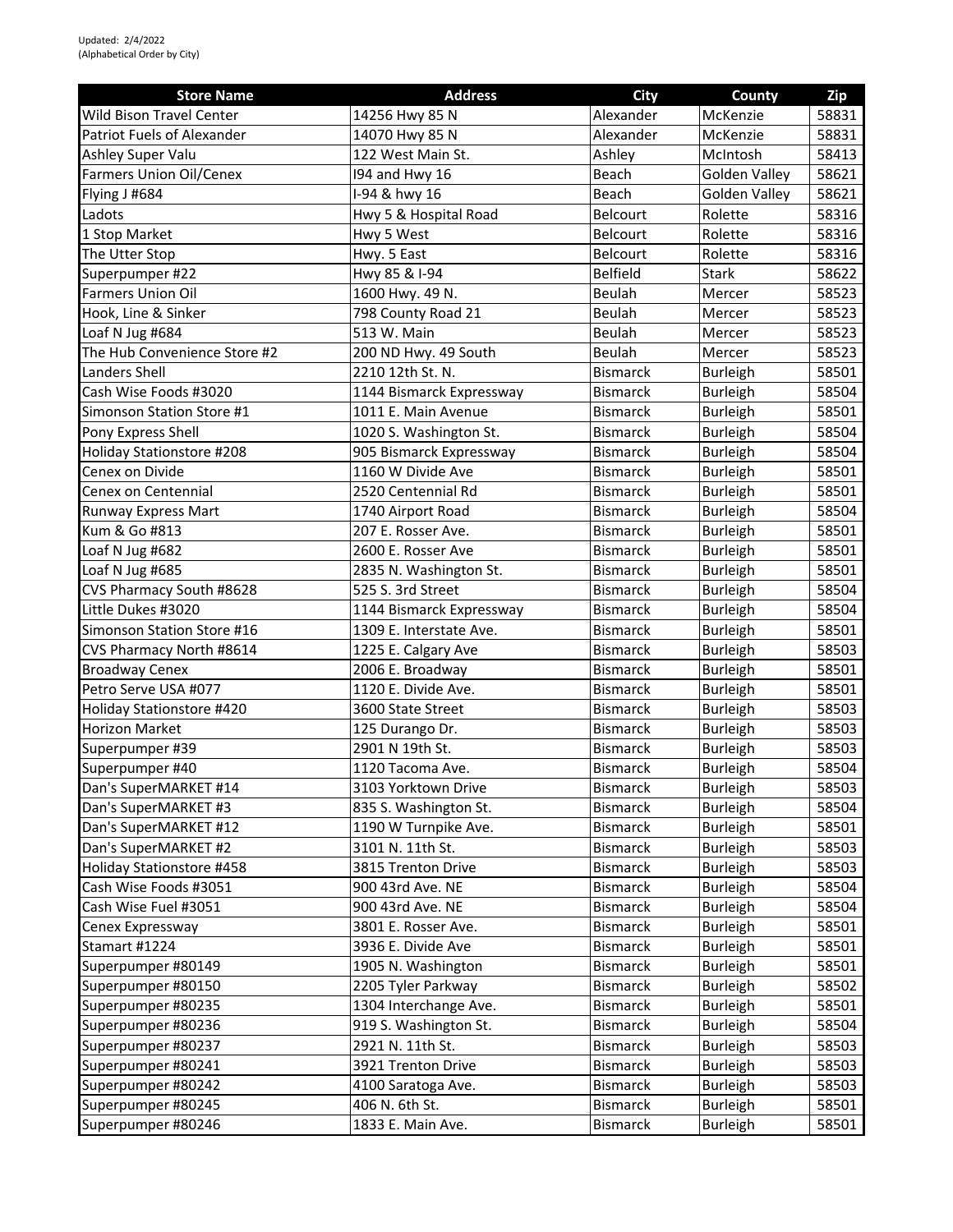| <b>Store Name</b>                | <b>Address</b>           | <b>City</b>     | <b>County</b>        | Zip   |
|----------------------------------|--------------------------|-----------------|----------------------|-------|
| Wild Bison Travel Center         | 14256 Hwy 85 N           | Alexander       | McKenzie             | 58831 |
| Patriot Fuels of Alexander       | 14070 Hwy 85 N           | Alexander       | McKenzie             | 58831 |
| Ashley Super Valu                | 122 West Main St.        | Ashley          | McIntosh             | 58413 |
| <b>Farmers Union Oil/Cenex</b>   | 194 and Hwy 16           | Beach           | <b>Golden Valley</b> | 58621 |
| Flying J #684                    | I-94 & hwy 16            | Beach           | Golden Valley        | 58621 |
| Ladots                           | Hwy 5 & Hospital Road    | Belcourt        | Rolette              | 58316 |
| 1 Stop Market                    | Hwy 5 West               | <b>Belcourt</b> | Rolette              | 58316 |
| The Utter Stop                   | Hwy. 5 East              | <b>Belcourt</b> | Rolette              | 58316 |
| Superpumper #22                  | Hwy 85 & I-94            | <b>Belfield</b> | Stark                | 58622 |
| <b>Farmers Union Oil</b>         | 1600 Hwy. 49 N.          | Beulah          | Mercer               | 58523 |
| Hook, Line & Sinker              | 798 County Road 21       | Beulah          | Mercer               | 58523 |
| Loaf N Jug #684                  | 513 W. Main              | Beulah          | Mercer               | 58523 |
| The Hub Convenience Store #2     | 200 ND Hwy. 49 South     | Beulah          | Mercer               | 58523 |
| <b>Landers Shell</b>             | 2210 12th St. N.         | <b>Bismarck</b> | <b>Burleigh</b>      | 58501 |
| Cash Wise Foods #3020            | 1144 Bismarck Expressway | <b>Bismarck</b> | <b>Burleigh</b>      | 58504 |
| Simonson Station Store #1        | 1011 E. Main Avenue      | <b>Bismarck</b> | <b>Burleigh</b>      | 58501 |
| Pony Express Shell               | 1020 S. Washington St.   | <b>Bismarck</b> | <b>Burleigh</b>      | 58504 |
| <b>Holiday Stationstore #208</b> | 905 Bismarck Expressway  | <b>Bismarck</b> | <b>Burleigh</b>      | 58504 |
| Cenex on Divide                  | 1160 W Divide Ave        | <b>Bismarck</b> | <b>Burleigh</b>      | 58501 |
| Cenex on Centennial              | 2520 Centennial Rd       | <b>Bismarck</b> | <b>Burleigh</b>      | 58501 |
| Runway Express Mart              | 1740 Airport Road        | <b>Bismarck</b> | <b>Burleigh</b>      | 58504 |
| Kum & Go #813                    | 207 E. Rosser Ave.       | <b>Bismarck</b> | <b>Burleigh</b>      | 58501 |
| Loaf N Jug #682                  | 2600 E. Rosser Ave       | <b>Bismarck</b> | <b>Burleigh</b>      | 58501 |
| Loaf N Jug #685                  | 2835 N. Washington St.   | <b>Bismarck</b> | <b>Burleigh</b>      | 58501 |
| CVS Pharmacy South #8628         | 525 S. 3rd Street        | <b>Bismarck</b> | <b>Burleigh</b>      | 58504 |
| Little Dukes #3020               | 1144 Bismarck Expressway | <b>Bismarck</b> | <b>Burleigh</b>      | 58504 |
| Simonson Station Store #16       | 1309 E. Interstate Ave.  | <b>Bismarck</b> | <b>Burleigh</b>      | 58501 |
| CVS Pharmacy North #8614         | 1225 E. Calgary Ave      | <b>Bismarck</b> | <b>Burleigh</b>      | 58503 |
| <b>Broadway Cenex</b>            | 2006 E. Broadway         | <b>Bismarck</b> | <b>Burleigh</b>      | 58501 |
| Petro Serve USA #077             | 1120 E. Divide Ave.      | <b>Bismarck</b> | <b>Burleigh</b>      | 58501 |
| Holiday Stationstore #420        | 3600 State Street        | <b>Bismarck</b> | <b>Burleigh</b>      | 58503 |
| <b>Horizon Market</b>            | 125 Durango Dr.          | <b>Bismarck</b> | <b>Burleigh</b>      | 58503 |
| Superpumper #39                  | 2901 N 19th St.          | <b>Bismarck</b> | <b>Burleigh</b>      | 58503 |
| Superpumper #40                  | 1120 Tacoma Ave.         | <b>Bismarck</b> | <b>Burleigh</b>      | 58504 |
| Dan's SuperMARKET #14            | 3103 Yorktown Drive      | <b>Bismarck</b> | <b>Burleigh</b>      | 58503 |
| Dan's SuperMARKET #3             | 835 S. Washington St.    | <b>Bismarck</b> | <b>Burleigh</b>      | 58504 |
| Dan's SuperMARKET #12            | 1190 W Turnpike Ave.     | <b>Bismarck</b> | <b>Burleigh</b>      | 58501 |
| Dan's SuperMARKET #2             | 3101 N. 11th St.         | <b>Bismarck</b> | <b>Burleigh</b>      | 58503 |
| Holiday Stationstore #458        | 3815 Trenton Drive       | <b>Bismarck</b> | <b>Burleigh</b>      | 58503 |
| Cash Wise Foods #3051            | 900 43rd Ave. NE         | <b>Bismarck</b> | <b>Burleigh</b>      | 58504 |
| Cash Wise Fuel #3051             | 900 43rd Ave. NE         | <b>Bismarck</b> | <b>Burleigh</b>      | 58504 |
| Cenex Expressway                 | 3801 E. Rosser Ave.      | <b>Bismarck</b> | <b>Burleigh</b>      | 58501 |
| Stamart #1224                    | 3936 E. Divide Ave       | <b>Bismarck</b> | <b>Burleigh</b>      | 58501 |
| Superpumper #80149               | 1905 N. Washington       | <b>Bismarck</b> | <b>Burleigh</b>      | 58501 |
| Superpumper #80150               | 2205 Tyler Parkway       | <b>Bismarck</b> | <b>Burleigh</b>      | 58502 |
| Superpumper #80235               | 1304 Interchange Ave.    | <b>Bismarck</b> | <b>Burleigh</b>      | 58501 |
| Superpumper #80236               | 919 S. Washington St.    | <b>Bismarck</b> | <b>Burleigh</b>      | 58504 |
| Superpumper #80237               | 2921 N. 11th St.         | <b>Bismarck</b> | <b>Burleigh</b>      | 58503 |
| Superpumper #80241               | 3921 Trenton Drive       | <b>Bismarck</b> | <b>Burleigh</b>      | 58503 |
| Superpumper #80242               |                          |                 |                      |       |
|                                  | 4100 Saratoga Ave.       | <b>Bismarck</b> | <b>Burleigh</b>      | 58503 |
| Superpumper #80245               | 406 N. 6th St.           | <b>Bismarck</b> | <b>Burleigh</b>      | 58501 |
| Superpumper #80246               | 1833 E. Main Ave.        | <b>Bismarck</b> | <b>Burleigh</b>      | 58501 |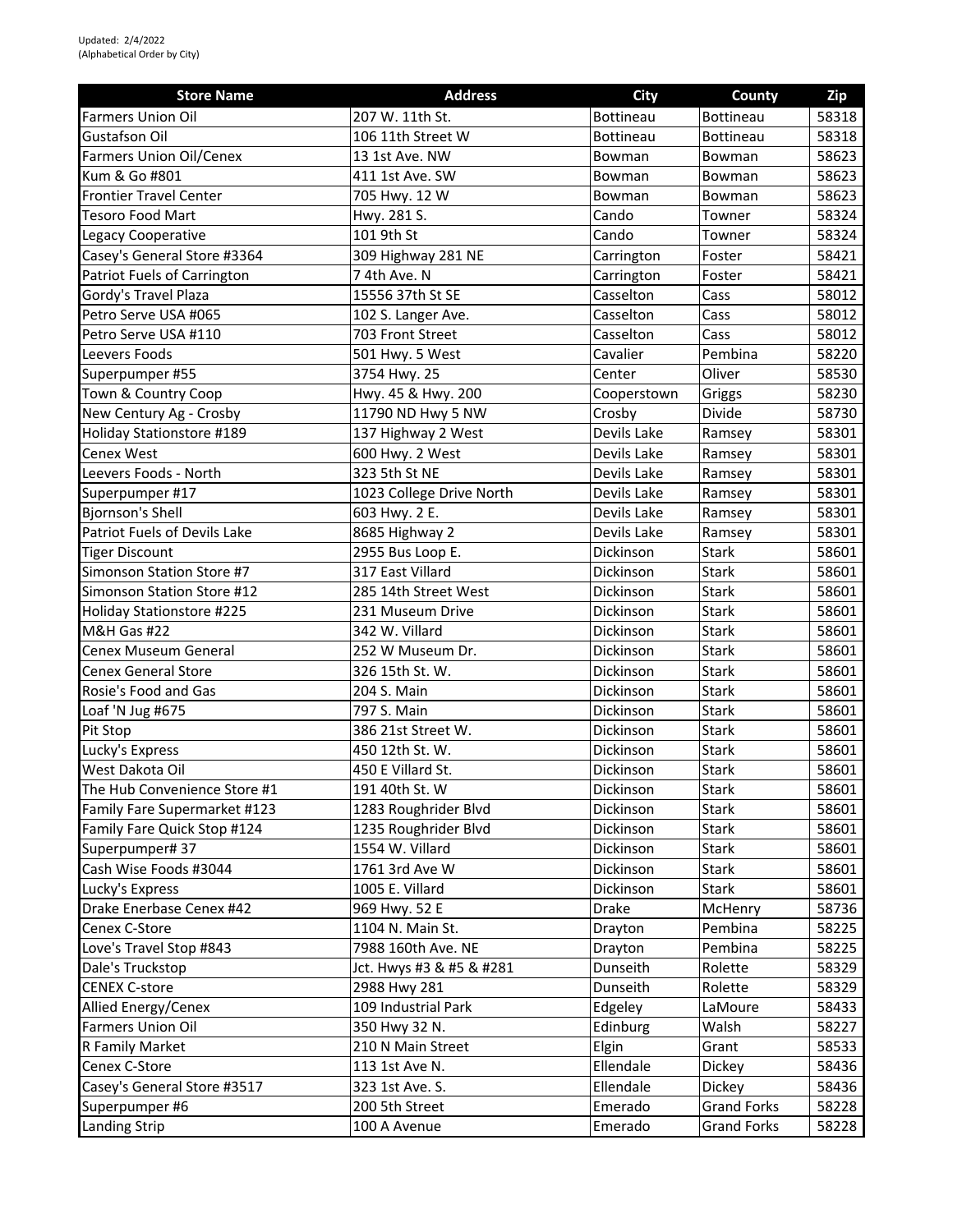| <b>Store Name</b>             | <b>Address</b>           | <b>City</b>      | County             | Zip   |
|-------------------------------|--------------------------|------------------|--------------------|-------|
| <b>Farmers Union Oil</b>      | 207 W. 11th St.          | <b>Bottineau</b> | <b>Bottineau</b>   | 58318 |
| <b>Gustafson Oil</b>          | 106 11th Street W        | Bottineau        | <b>Bottineau</b>   | 58318 |
| Farmers Union Oil/Cenex       | 13 1st Ave. NW           | Bowman           | Bowman             | 58623 |
| Kum & Go #801                 | 411 1st Ave. SW          | Bowman           | Bowman             | 58623 |
| <b>Frontier Travel Center</b> | 705 Hwy. 12 W            | Bowman           | Bowman             | 58623 |
| Tesoro Food Mart              | Hwy. 281 S.              | Cando            | Towner             | 58324 |
| Legacy Cooperative            | 101 9th St               | Cando            | Towner             | 58324 |
| Casey's General Store #3364   | 309 Highway 281 NE       | Carrington       | Foster             | 58421 |
| Patriot Fuels of Carrington   | 7 4th Ave. N             | Carrington       | Foster             | 58421 |
| Gordy's Travel Plaza          | 15556 37th St SE         | Casselton        | Cass               | 58012 |
| Petro Serve USA #065          | 102 S. Langer Ave.       | Casselton        | Cass               | 58012 |
| Petro Serve USA #110          | 703 Front Street         | Casselton        | Cass               | 58012 |
| Leevers Foods                 | 501 Hwy. 5 West          | Cavalier         | Pembina            | 58220 |
| Superpumper #55               | 3754 Hwy. 25             | Center           | Oliver             | 58530 |
| Town & Country Coop           | Hwy. 45 & Hwy. 200       | Cooperstown      | Griggs             | 58230 |
| New Century Ag - Crosby       | 11790 ND Hwy 5 NW        | Crosby           | Divide             | 58730 |
| Holiday Stationstore #189     | 137 Highway 2 West       | Devils Lake      | Ramsey             | 58301 |
| Cenex West                    | 600 Hwy. 2 West          | Devils Lake      | Ramsey             | 58301 |
| Leevers Foods - North         | 323 5th St NE            | Devils Lake      | Ramsey             | 58301 |
| Superpumper #17               | 1023 College Drive North | Devils Lake      | Ramsey             | 58301 |
| Bjornson's Shell              | 603 Hwy. 2 E.            | Devils Lake      | Ramsey             | 58301 |
| Patriot Fuels of Devils Lake  | 8685 Highway 2           | Devils Lake      | Ramsey             | 58301 |
| <b>Tiger Discount</b>         | 2955 Bus Loop E.         | Dickinson        | <b>Stark</b>       | 58601 |
| Simonson Station Store #7     | 317 East Villard         | Dickinson        | <b>Stark</b>       | 58601 |
| Simonson Station Store #12    | 285 14th Street West     | Dickinson        | Stark              | 58601 |
| Holiday Stationstore #225     | 231 Museum Drive         | Dickinson        | Stark              | 58601 |
| <b>M&amp;H Gas #22</b>        | 342 W. Villard           | Dickinson        | <b>Stark</b>       | 58601 |
| Cenex Museum General          | 252 W Museum Dr.         | Dickinson        | <b>Stark</b>       | 58601 |
| <b>Cenex General Store</b>    | 326 15th St. W.          | Dickinson        | <b>Stark</b>       | 58601 |
| Rosie's Food and Gas          | 204 S. Main              | Dickinson        | <b>Stark</b>       | 58601 |
| Loaf 'N Jug #675              | 797 S. Main              | Dickinson        | <b>Stark</b>       | 58601 |
| Pit Stop                      | 386 21st Street W.       | Dickinson        | <b>Stark</b>       | 58601 |
| Lucky's Express               | 450 12th St. W.          | Dickinson        | Stark              | 58601 |
| West Dakota Oil               | 450 E Villard St.        | Dickinson        | <b>Stark</b>       | 58601 |
| The Hub Convenience Store #1  | 191 40th St. W           | Dickinson        | <b>Stark</b>       | 58601 |
| Family Fare Supermarket #123  | 1283 Roughrider Blvd     | Dickinson        | <b>Stark</b>       | 58601 |
| Family Fare Quick Stop #124   | 1235 Roughrider Blvd     | Dickinson        | Stark              | 58601 |
| Superpumper#37                | 1554 W. Villard          | Dickinson        | <b>Stark</b>       | 58601 |
| Cash Wise Foods #3044         | 1761 3rd Ave W           | Dickinson        | Stark              | 58601 |
| Lucky's Express               | 1005 E. Villard          | <b>Dickinson</b> | Stark              | 58601 |
| Drake Enerbase Cenex #42      | 969 Hwy. 52 E            | Drake            | McHenry            | 58736 |
| Cenex C-Store                 | 1104 N. Main St.         | Drayton          | Pembina            | 58225 |
| Love's Travel Stop #843       | 7988 160th Ave. NE       | Drayton          | Pembina            | 58225 |
| Dale's Truckstop              | Jct. Hwys #3 & #5 & #281 | Dunseith         | Rolette            | 58329 |
| <b>CENEX C-store</b>          | 2988 Hwy 281             | Dunseith         | Rolette            | 58329 |
| Allied Energy/Cenex           | 109 Industrial Park      | Edgeley          | LaMoure            | 58433 |
| Farmers Union Oil             | 350 Hwy 32 N.            | Edinburg         | Walsh              | 58227 |
| R Family Market               | 210 N Main Street        | Elgin            | Grant              | 58533 |
| Cenex C-Store                 | 113 1st Ave N.           | Ellendale        | Dickey             | 58436 |
| Casey's General Store #3517   | 323 1st Ave. S.          | Ellendale        | Dickey             | 58436 |
| Superpumper #6                | 200 5th Street           | Emerado          | <b>Grand Forks</b> | 58228 |
| <b>Landing Strip</b>          | 100 A Avenue             | Emerado          | <b>Grand Forks</b> | 58228 |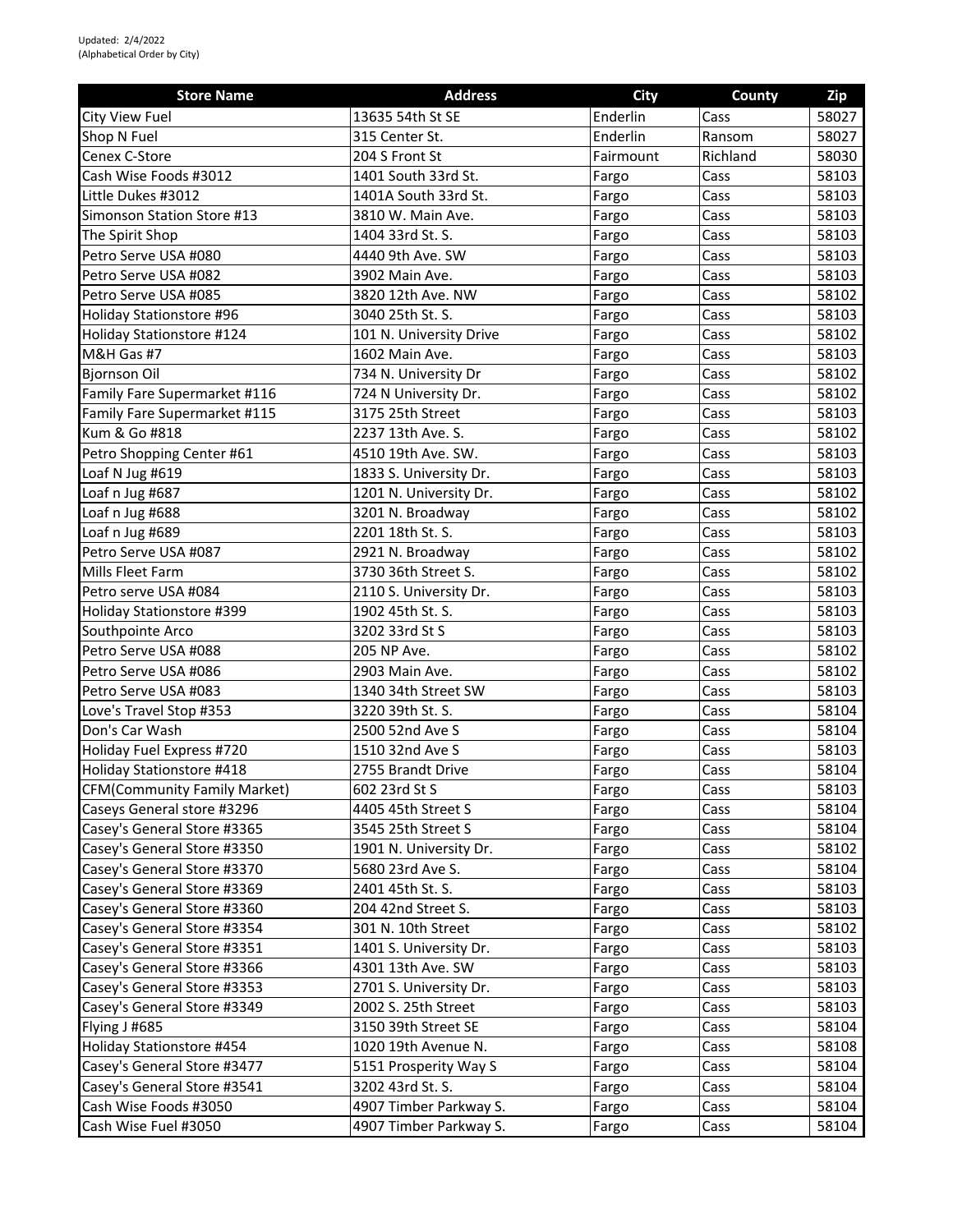| <b>Store Name</b>                                        | <b>Address</b>                               | <b>City</b> | County   | Zip            |
|----------------------------------------------------------|----------------------------------------------|-------------|----------|----------------|
| City View Fuel                                           | 13635 54th St SE                             | Enderlin    | Cass     | 58027          |
| Shop N Fuel                                              | 315 Center St.                               | Enderlin    | Ransom   | 58027          |
| Cenex C-Store                                            | 204 S Front St                               | Fairmount   | Richland | 58030          |
| Cash Wise Foods #3012                                    | 1401 South 33rd St.                          | Fargo       | Cass     | 58103          |
| Little Dukes #3012                                       | 1401A South 33rd St.                         | Fargo       | Cass     | 58103          |
| Simonson Station Store #13                               | 3810 W. Main Ave.                            | Fargo       | Cass     | 58103          |
| The Spirit Shop                                          | 1404 33rd St. S.                             | Fargo       | Cass     | 58103          |
| Petro Serve USA #080                                     | 4440 9th Ave. SW                             | Fargo       | Cass     | 58103          |
| Petro Serve USA #082                                     | 3902 Main Ave.                               | Fargo       | Cass     | 58103          |
| Petro Serve USA #085                                     | 3820 12th Ave. NW                            | Fargo       | Cass     | 58102          |
| Holiday Stationstore #96                                 | 3040 25th St. S.                             | Fargo       | Cass     | 58103          |
| Holiday Stationstore #124                                | 101 N. University Drive                      | Fargo       | Cass     | 58102          |
| M&H Gas #7                                               | 1602 Main Ave.                               | Fargo       | Cass     | 58103          |
| <b>Bjornson Oil</b>                                      | 734 N. University Dr                         | Fargo       | Cass     | 58102          |
| Family Fare Supermarket #116                             | 724 N University Dr.                         | Fargo       | Cass     | 58102          |
| Family Fare Supermarket #115                             | 3175 25th Street                             | Fargo       | Cass     | 58103          |
| Kum & Go #818                                            | 2237 13th Ave. S.                            | Fargo       | Cass     | 58102          |
| Petro Shopping Center #61                                | 4510 19th Ave. SW.                           | Fargo       | Cass     | 58103          |
| Loaf N Jug #619                                          | 1833 S. University Dr.                       | Fargo       | Cass     | 58103          |
| Loaf n Jug #687                                          | 1201 N. University Dr.                       | Fargo       | Cass     | 58102          |
| Loaf n Jug #688                                          | 3201 N. Broadway                             | Fargo       | Cass     | 58102          |
| Loaf n Jug #689                                          | 2201 18th St. S.                             | Fargo       | Cass     | 58103          |
| Petro Serve USA #087                                     | 2921 N. Broadway                             | Fargo       | Cass     | 58102          |
| Mills Fleet Farm                                         | 3730 36th Street S.                          | Fargo       | Cass     | 58102          |
| Petro serve USA #084                                     | 2110 S. University Dr.                       | Fargo       | Cass     | 58103          |
| Holiday Stationstore #399                                | 1902 45th St. S.                             | Fargo       | Cass     | 58103          |
| Southpointe Arco                                         | 3202 33rd St S                               | Fargo       | Cass     | 58103          |
| Petro Serve USA #088                                     | 205 NP Ave.                                  | Fargo       | Cass     | 58102          |
| Petro Serve USA #086                                     | 2903 Main Ave.                               | Fargo       | Cass     | 58102          |
| Petro Serve USA #083                                     | 1340 34th Street SW                          | Fargo       | Cass     | 58103          |
| Love's Travel Stop #353                                  | 3220 39th St. S.                             | Fargo       | Cass     | 58104          |
| Don's Car Wash                                           | 2500 52nd Ave S                              | Fargo       | Cass     | 58104          |
| Holiday Fuel Express #720                                | 1510 32nd Ave S                              | Fargo       | Cass     | 58103          |
| Holiday Stationstore #418                                | 2755 Brandt Drive                            | Fargo       | Cass     | 58104          |
| <b>CFM(Community Family Market)</b>                      | 602 23rd St S                                | Fargo       | Cass     | 58103          |
| Caseys General store #3296                               | 4405 45th Street S                           | Fargo       | Cass     | 58104          |
| Casey's General Store #3365                              | 3545 25th Street S                           | Fargo       | Cass     | 58104          |
| Casey's General Store #3350                              | 1901 N. University Dr.                       | Fargo       | Cass     | 58102          |
| Casey's General Store #3370                              | 5680 23rd Ave S.                             | Fargo       | Cass     | 58104          |
| Casey's General Store #3369                              | 2401 45th St. S.                             | Fargo       | Cass     | 58103          |
| Casey's General Store #3360                              | 204 42nd Street S.                           | Fargo       | Cass     | 58103          |
| Casey's General Store #3354                              | 301 N. 10th Street                           | Fargo       | Cass     | 58102          |
| Casey's General Store #3351                              | 1401 S. University Dr.                       | Fargo       | Cass     | 58103          |
| Casey's General Store #3366                              | 4301 13th Ave. SW                            | Fargo       | Cass     | 58103          |
| Casey's General Store #3353                              | 2701 S. University Dr.                       |             | Cass     | 58103          |
| Casey's General Store #3349                              | 2002 S. 25th Street                          | Fargo       |          | 58103          |
|                                                          |                                              | Fargo       | Cass     |                |
| Flying J #685                                            | 3150 39th Street SE                          | Fargo       | Cass     | 58104          |
| Holiday Stationstore #454<br>Casey's General Store #3477 | 1020 19th Avenue N.<br>5151 Prosperity Way S | Fargo       | Cass     | 58108<br>58104 |
| Casey's General Store #3541                              | 3202 43rd St. S.                             | Fargo       | Cass     | 58104          |
|                                                          |                                              | Fargo       | Cass     |                |
| Cash Wise Foods #3050                                    | 4907 Timber Parkway S.                       | Fargo       | Cass     | 58104          |
| Cash Wise Fuel #3050                                     | 4907 Timber Parkway S.                       | Fargo       | Cass     | 58104          |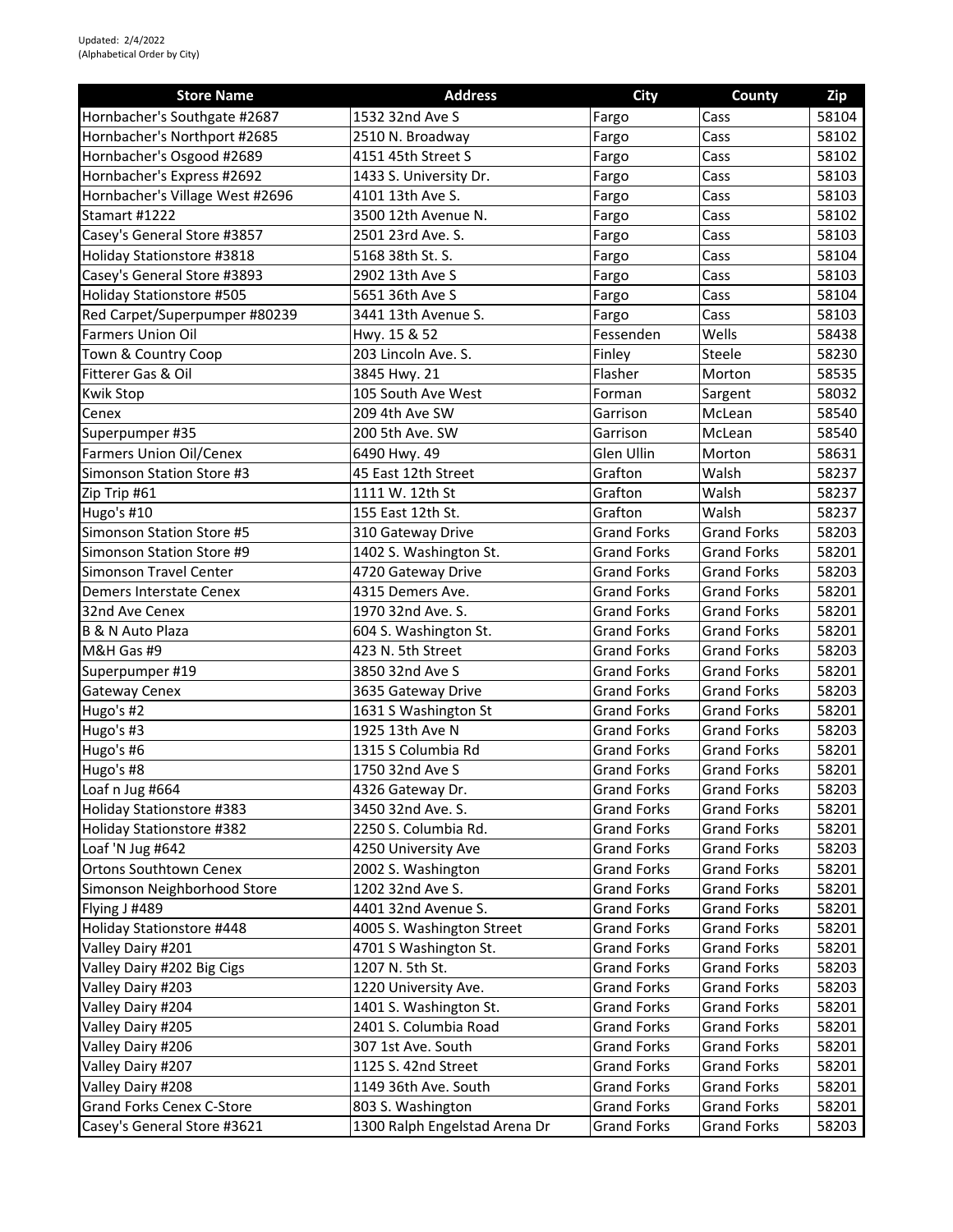| <b>Store Name</b>                | <b>Address</b>                | <b>City</b>        | County             | Zip   |
|----------------------------------|-------------------------------|--------------------|--------------------|-------|
| Hornbacher's Southgate #2687     | 1532 32nd Ave S               | Fargo              | Cass               | 58104 |
| Hornbacher's Northport #2685     | 2510 N. Broadway              | Fargo              | Cass               | 58102 |
| Hornbacher's Osgood #2689        | 4151 45th Street S            | Fargo              | Cass               | 58102 |
| Hornbacher's Express #2692       | 1433 S. University Dr.        | Fargo              | Cass               | 58103 |
| Hornbacher's Village West #2696  | 4101 13th Ave S.              | Fargo              | Cass               | 58103 |
| Stamart #1222                    | 3500 12th Avenue N.           | Fargo              | Cass               | 58102 |
| Casey's General Store #3857      | 2501 23rd Ave. S.             | Fargo              | Cass               | 58103 |
| Holiday Stationstore #3818       | 5168 38th St. S.              | Fargo              | Cass               | 58104 |
| Casey's General Store #3893      | 2902 13th Ave S               | Fargo              | Cass               | 58103 |
| Holiday Stationstore #505        | 5651 36th Ave S               | Fargo              | Cass               | 58104 |
| Red Carpet/Superpumper #80239    | 3441 13th Avenue S.           | Fargo              | Cass               | 58103 |
| <b>Farmers Union Oil</b>         | Hwy. 15 & 52                  | Fessenden          | Wells              | 58438 |
| Town & Country Coop              | 203 Lincoln Ave. S.           | Finley             | Steele             | 58230 |
| Fitterer Gas & Oil               | 3845 Hwy. 21                  | Flasher            | Morton             | 58535 |
| <b>Kwik Stop</b>                 | 105 South Ave West            | Forman             | Sargent            | 58032 |
| Cenex                            | 209 4th Ave SW                | Garrison           | McLean             | 58540 |
| Superpumper #35                  | 200 5th Ave. SW               | Garrison           | McLean             | 58540 |
| <b>Farmers Union Oil/Cenex</b>   | 6490 Hwy. 49                  | Glen Ullin         | Morton             | 58631 |
| Simonson Station Store #3        | 45 East 12th Street           | Grafton            | Walsh              | 58237 |
| Zip Trip #61                     | 1111 W. 12th St               | Grafton            | Walsh              | 58237 |
| Hugo's #10                       | 155 East 12th St.             | Grafton            | Walsh              | 58237 |
| Simonson Station Store #5        | 310 Gateway Drive             | <b>Grand Forks</b> | <b>Grand Forks</b> | 58203 |
| Simonson Station Store #9        | 1402 S. Washington St.        | <b>Grand Forks</b> | <b>Grand Forks</b> | 58201 |
| Simonson Travel Center           | 4720 Gateway Drive            | <b>Grand Forks</b> | Grand Forks        | 58203 |
| Demers Interstate Cenex          | 4315 Demers Ave.              | <b>Grand Forks</b> | <b>Grand Forks</b> | 58201 |
| 32nd Ave Cenex                   | 1970 32nd Ave. S.             | <b>Grand Forks</b> | <b>Grand Forks</b> | 58201 |
| <b>B &amp; N Auto Plaza</b>      | 604 S. Washington St.         | <b>Grand Forks</b> | <b>Grand Forks</b> | 58201 |
| M&H Gas #9                       | 423 N. 5th Street             | <b>Grand Forks</b> | <b>Grand Forks</b> | 58203 |
| Superpumper #19                  | 3850 32nd Ave S               | <b>Grand Forks</b> | <b>Grand Forks</b> | 58201 |
| <b>Gateway Cenex</b>             | 3635 Gateway Drive            | <b>Grand Forks</b> | <b>Grand Forks</b> | 58203 |
| Hugo's #2                        | 1631 S Washington St          | <b>Grand Forks</b> | <b>Grand Forks</b> | 58201 |
| Hugo's #3                        | 1925 13th Ave N               | <b>Grand Forks</b> | <b>Grand Forks</b> | 58203 |
| Hugo's #6                        | 1315 S Columbia Rd            | <b>Grand Forks</b> | <b>Grand Forks</b> | 58201 |
| Hugo's #8                        | 1750 32nd Ave S               | <b>Grand Forks</b> | Grand Forks        | 58201 |
| Loaf n Jug #664                  | 4326 Gateway Dr.              | <b>Grand Forks</b> | Grand Forks        | 58203 |
| Holiday Stationstore #383        | 3450 32nd Ave. S.             | <b>Grand Forks</b> | <b>Grand Forks</b> | 58201 |
| Holiday Stationstore #382        | 2250 S. Columbia Rd.          | <b>Grand Forks</b> | <b>Grand Forks</b> | 58201 |
| Loaf 'N Jug #642                 | 4250 University Ave           | <b>Grand Forks</b> | <b>Grand Forks</b> | 58203 |
| <b>Ortons Southtown Cenex</b>    | 2002 S. Washington            | <b>Grand Forks</b> | <b>Grand Forks</b> | 58201 |
| Simonson Neighborhood Store      | 1202 32nd Ave S.              | <b>Grand Forks</b> | <b>Grand Forks</b> | 58201 |
| Flying J #489                    | 4401 32nd Avenue S.           | <b>Grand Forks</b> | <b>Grand Forks</b> | 58201 |
| Holiday Stationstore #448        | 4005 S. Washington Street     | <b>Grand Forks</b> | <b>Grand Forks</b> | 58201 |
|                                  | 4701 S Washington St.         | <b>Grand Forks</b> | <b>Grand Forks</b> | 58201 |
| Valley Dairy #201                | 1207 N. 5th St.               | <b>Grand Forks</b> |                    |       |
| Valley Dairy #202 Big Cigs       |                               |                    | <b>Grand Forks</b> | 58203 |
| Valley Dairy #203                | 1220 University Ave.          | <b>Grand Forks</b> | <b>Grand Forks</b> | 58203 |
| Valley Dairy #204                | 1401 S. Washington St.        | <b>Grand Forks</b> | <b>Grand Forks</b> | 58201 |
| Valley Dairy #205                | 2401 S. Columbia Road         | <b>Grand Forks</b> | <b>Grand Forks</b> | 58201 |
| Valley Dairy #206                | 307 1st Ave. South            | <b>Grand Forks</b> | <b>Grand Forks</b> | 58201 |
| Valley Dairy #207                | 1125 S. 42nd Street           | <b>Grand Forks</b> | <b>Grand Forks</b> | 58201 |
| Valley Dairy #208                | 1149 36th Ave. South          | <b>Grand Forks</b> | <b>Grand Forks</b> | 58201 |
| <b>Grand Forks Cenex C-Store</b> | 803 S. Washington             | <b>Grand Forks</b> | <b>Grand Forks</b> | 58201 |
| Casey's General Store #3621      | 1300 Ralph Engelstad Arena Dr | <b>Grand Forks</b> | <b>Grand Forks</b> | 58203 |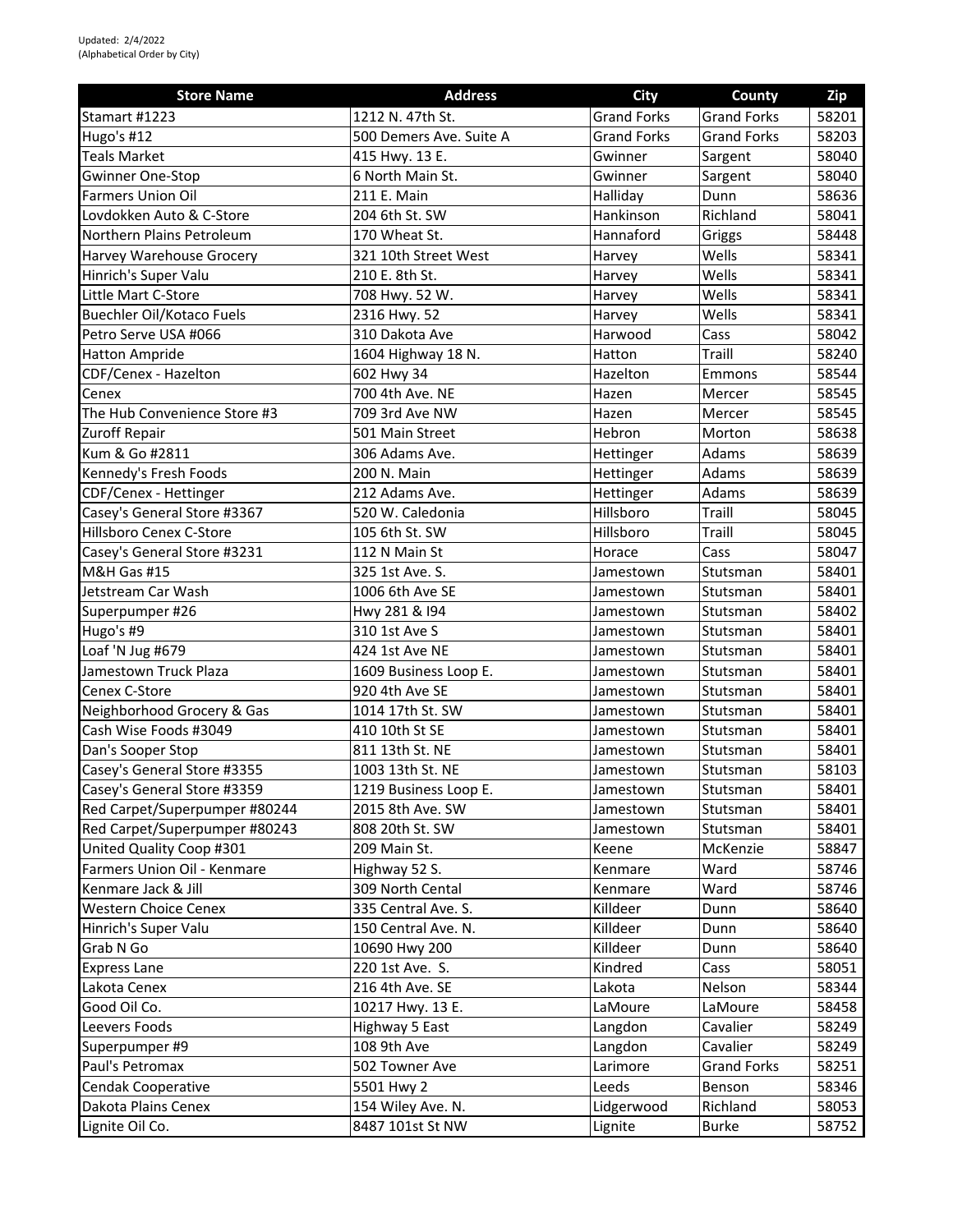| <b>Store Name</b>                | <b>Address</b>          | <b>City</b>        | County             | Zip   |
|----------------------------------|-------------------------|--------------------|--------------------|-------|
| Stamart #1223                    | 1212 N. 47th St.        | <b>Grand Forks</b> | <b>Grand Forks</b> | 58201 |
| Hugo's #12                       | 500 Demers Ave. Suite A | <b>Grand Forks</b> | <b>Grand Forks</b> | 58203 |
| Teals Market                     | 415 Hwy. 13 E.          | Gwinner            | Sargent            | 58040 |
| <b>Gwinner One-Stop</b>          | 6 North Main St.        | Gwinner            | Sargent            | 58040 |
| Farmers Union Oil                | 211 E. Main             | Halliday           | Dunn               | 58636 |
| Lovdokken Auto & C-Store         | 204 6th St. SW          | Hankinson          | Richland           | 58041 |
| Northern Plains Petroleum        | 170 Wheat St.           | Hannaford          | Griggs             | 58448 |
| Harvey Warehouse Grocery         | 321 10th Street West    | Harvey             | Wells              | 58341 |
| Hinrich's Super Valu             | 210 E. 8th St.          | Harvey             | Wells              | 58341 |
| Little Mart C-Store              | 708 Hwy. 52 W.          | Harvey             | Wells              | 58341 |
| <b>Buechler Oil/Kotaco Fuels</b> | 2316 Hwy. 52            | Harvey             | Wells              | 58341 |
| Petro Serve USA #066             | 310 Dakota Ave          | Harwood            | Cass               | 58042 |
| <b>Hatton Ampride</b>            | 1604 Highway 18 N.      | Hatton             | Traill             | 58240 |
| CDF/Cenex - Hazelton             | 602 Hwy 34              | Hazelton           | Emmons             | 58544 |
| Cenex                            | 700 4th Ave. NE         | Hazen              | Mercer             | 58545 |
| The Hub Convenience Store #3     | 709 3rd Ave NW          | Hazen              | Mercer             | 58545 |
| Zuroff Repair                    | 501 Main Street         | Hebron             | Morton             | 58638 |
| Kum & Go #2811                   | 306 Adams Ave.          | Hettinger          | Adams              | 58639 |
| Kennedy's Fresh Foods            | 200 N. Main             | Hettinger          | Adams              | 58639 |
| CDF/Cenex - Hettinger            | 212 Adams Ave.          | Hettinger          | Adams              | 58639 |
| Casey's General Store #3367      | 520 W. Caledonia        | Hillsboro          | Traill             | 58045 |
| Hillsboro Cenex C-Store          | 105 6th St. SW          | Hillsboro          | Traill             | 58045 |
| Casey's General Store #3231      | 112 N Main St           | Horace             | Cass               | 58047 |
| <b>M&amp;H Gas #15</b>           | 325 1st Ave. S.         | Jamestown          | Stutsman           | 58401 |
| Jetstream Car Wash               | 1006 6th Ave SE         | Jamestown          | Stutsman           | 58401 |
| Superpumper #26                  | Hwy 281 & 194           | Jamestown          | Stutsman           | 58402 |
| Hugo's #9                        | 310 1st Ave S           | Jamestown          | Stutsman           | 58401 |
| Loaf 'N Jug #679                 | 424 1st Ave NE          | Jamestown          | Stutsman           | 58401 |
| Jamestown Truck Plaza            | 1609 Business Loop E.   | Jamestown          | Stutsman           | 58401 |
| Cenex C-Store                    | 920 4th Ave SE          | Jamestown          | Stutsman           | 58401 |
| Neighborhood Grocery & Gas       | 1014 17th St. SW        | Jamestown          | Stutsman           | 58401 |
| Cash Wise Foods #3049            | 410 10th St SE          | Jamestown          | Stutsman           | 58401 |
| Dan's Sooper Stop                | 811 13th St. NE         | Jamestown          | Stutsman           | 58401 |
| Casey's General Store #3355      | 1003 13th St. NE        | Jamestown          | Stutsman           | 58103 |
| Casey's General Store #3359      | 1219 Business Loop E.   | Jamestown          | Stutsman           | 58401 |
| Red Carpet/Superpumper #80244    | 2015 8th Ave. SW        | Jamestown          | Stutsman           | 58401 |
| Red Carpet/Superpumper #80243    | 808 20th St. SW         | Jamestown          | Stutsman           | 58401 |
| United Quality Coop #301         | 209 Main St.            | Keene              | McKenzie           | 58847 |
| Farmers Union Oil - Kenmare      | Highway 52 S.           | Kenmare            | Ward               | 58746 |
| Kenmare Jack & Jill              | 309 North Cental        | Kenmare            | Ward               | 58746 |
| <b>Western Choice Cenex</b>      | 335 Central Ave. S.     | Killdeer           | Dunn               | 58640 |
| Hinrich's Super Valu             | 150 Central Ave. N.     | Killdeer           | Dunn               | 58640 |
| Grab N Go                        | 10690 Hwy 200           | Killdeer           | Dunn               | 58640 |
| <b>Express Lane</b>              | 220 1st Ave. S.         | Kindred            | Cass               | 58051 |
| Lakota Cenex                     | 216 4th Ave. SE         | Lakota             | Nelson             | 58344 |
| Good Oil Co.                     | 10217 Hwy. 13 E.        | LaMoure            | LaMoure            | 58458 |
| Leevers Foods                    | Highway 5 East          | Langdon            | Cavalier           | 58249 |
| Superpumper #9                   | 108 9th Ave             | Langdon            | Cavalier           | 58249 |
| Paul's Petromax                  | 502 Towner Ave          | Larimore           | <b>Grand Forks</b> | 58251 |
| Cendak Cooperative               | 5501 Hwy 2              | Leeds              | Benson             | 58346 |
| Dakota Plains Cenex              | 154 Wiley Ave. N.       | Lidgerwood         | Richland           | 58053 |
| Lignite Oil Co.                  | 8487 101st St NW        | Lignite            | <b>Burke</b>       | 58752 |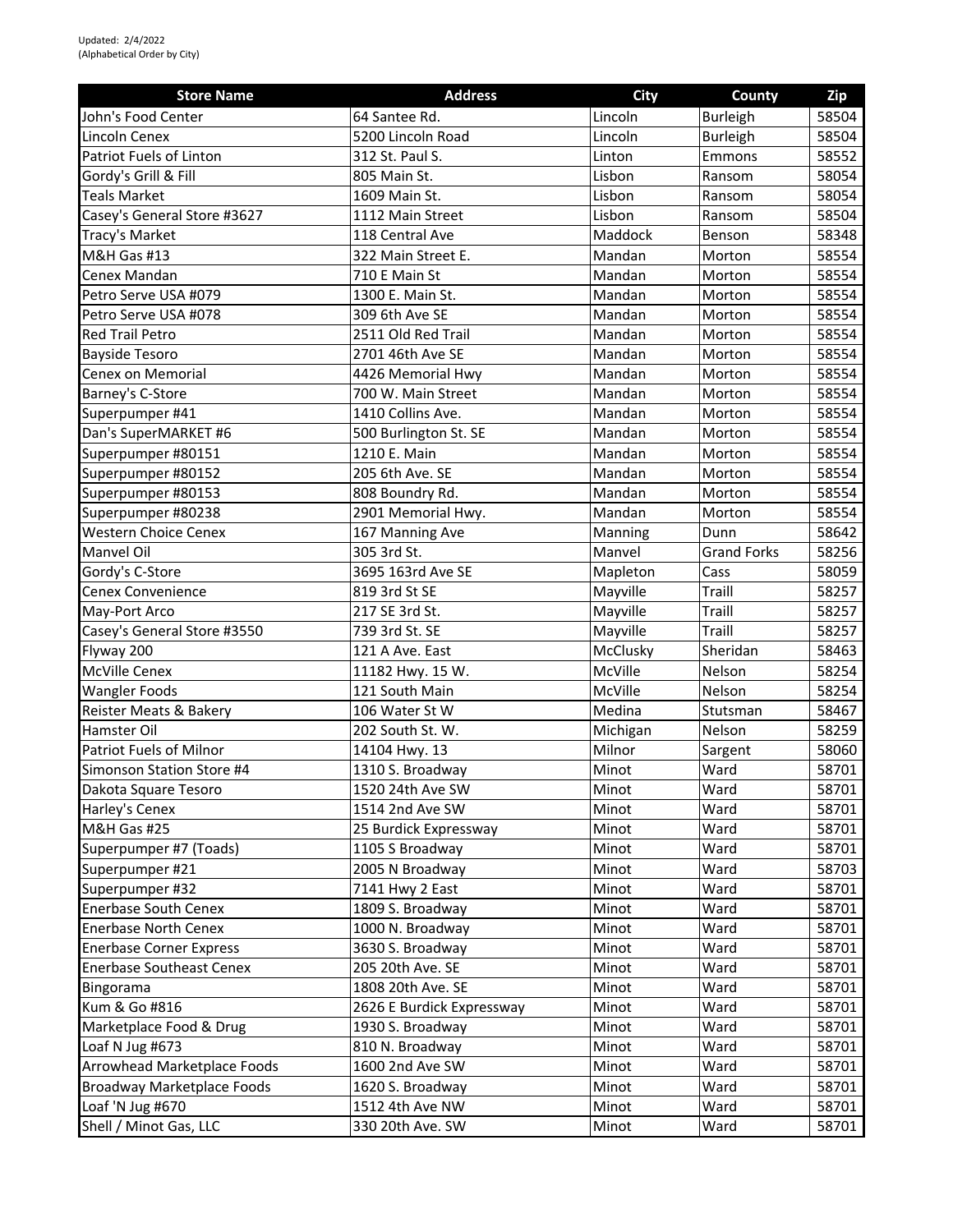| <b>Store Name</b>                 | <b>Address</b>            | <b>City</b> | <b>County</b>      | Zip   |
|-----------------------------------|---------------------------|-------------|--------------------|-------|
| John's Food Center                | 64 Santee Rd.             | Lincoln     | <b>Burleigh</b>    | 58504 |
| Lincoln Cenex                     | 5200 Lincoln Road         | Lincoln     | <b>Burleigh</b>    | 58504 |
| Patriot Fuels of Linton           | 312 St. Paul S.           | Linton      | Emmons             | 58552 |
| Gordy's Grill & Fill              | 805 Main St.              | Lisbon      | Ransom             | 58054 |
| Teals Market                      | 1609 Main St.             | Lisbon      | Ransom             | 58054 |
| Casey's General Store #3627       | 1112 Main Street          | Lisbon      | Ransom             | 58504 |
| Tracy's Market                    | 118 Central Ave           | Maddock     | Benson             | 58348 |
| M&H Gas #13                       | 322 Main Street E.        | Mandan      | Morton             | 58554 |
| Cenex Mandan                      | 710 E Main St             | Mandan      | Morton             | 58554 |
| Petro Serve USA #079              | 1300 E. Main St.          | Mandan      | Morton             | 58554 |
| Petro Serve USA #078              | 309 6th Ave SE            | Mandan      | Morton             | 58554 |
| <b>Red Trail Petro</b>            | 2511 Old Red Trail        | Mandan      | Morton             | 58554 |
| <b>Bayside Tesoro</b>             | 2701 46th Ave SE          | Mandan      | Morton             | 58554 |
| Cenex on Memorial                 | 4426 Memorial Hwy         | Mandan      | Morton             | 58554 |
| Barney's C-Store                  | 700 W. Main Street        | Mandan      | Morton             | 58554 |
| Superpumper #41                   | 1410 Collins Ave.         | Mandan      | Morton             | 58554 |
| Dan's SuperMARKET #6              | 500 Burlington St. SE     | Mandan      | Morton             | 58554 |
| Superpumper #80151                | 1210 E. Main              | Mandan      | Morton             | 58554 |
| Superpumper #80152                | 205 6th Ave. SE           | Mandan      | Morton             | 58554 |
| Superpumper #80153                | 808 Boundry Rd.           | Mandan      | Morton             | 58554 |
| Superpumper #80238                | 2901 Memorial Hwy.        | Mandan      | Morton             | 58554 |
| Western Choice Cenex              | 167 Manning Ave           | Manning     | Dunn               | 58642 |
| Manvel Oil                        | 305 3rd St.               | Manvel      | <b>Grand Forks</b> | 58256 |
| Gordy's C-Store                   | 3695 163rd Ave SE         | Mapleton    | Cass               | 58059 |
| Cenex Convenience                 | 819 3rd St SE             | Mayville    | Traill             | 58257 |
| May-Port Arco                     | 217 SE 3rd St.            | Mayville    | Traill             | 58257 |
| Casey's General Store #3550       | 739 3rd St. SE            | Mayville    | Traill             | 58257 |
| Flyway 200                        | 121 A Ave. East           | McClusky    | Sheridan           | 58463 |
| McVille Cenex                     | 11182 Hwy. 15 W.          | McVille     | Nelson             | 58254 |
| <b>Wangler Foods</b>              | 121 South Main            | McVille     | Nelson             | 58254 |
| Reister Meats & Bakery            | 106 Water St W            | Medina      | Stutsman           | 58467 |
| Hamster Oil                       | 202 South St. W.          | Michigan    | Nelson             | 58259 |
| Patriot Fuels of Milnor           | 14104 Hwy. 13             | Milnor      | Sargent            | 58060 |
| Simonson Station Store #4         | 1310 S. Broadway          | Minot       | Ward               | 58701 |
| Dakota Square Tesoro              | 1520 24th Ave SW          | Minot       | Ward               | 58701 |
| Harley's Cenex                    | 1514 2nd Ave SW           | Minot       | Ward               | 58701 |
| <b>M&amp;H Gas #25</b>            | 25 Burdick Expressway     | Minot       | Ward               | 58701 |
| Superpumper #7 (Toads)            | 1105 S Broadway           | Minot       | Ward               | 58701 |
| Superpumper #21                   | 2005 N Broadway           | Minot       | Ward               | 58703 |
| Superpumper #32                   | 7141 Hwy 2 East           | Minot       | Ward               | 58701 |
| <b>Enerbase South Cenex</b>       | 1809 S. Broadway          | Minot       | Ward               | 58701 |
| <b>Enerbase North Cenex</b>       | 1000 N. Broadway          | Minot       | Ward               | 58701 |
| <b>Enerbase Corner Express</b>    | 3630 S. Broadway          | Minot       | Ward               | 58701 |
| <b>Enerbase Southeast Cenex</b>   | 205 20th Ave. SE          | Minot       | Ward               | 58701 |
| Bingorama                         | 1808 20th Ave. SE         | Minot       | Ward               | 58701 |
| Kum & Go #816                     | 2626 E Burdick Expressway | Minot       | Ward               | 58701 |
| Marketplace Food & Drug           | 1930 S. Broadway          | Minot       | Ward               | 58701 |
| Loaf N Jug #673                   | 810 N. Broadway           | Minot       | Ward               | 58701 |
| Arrowhead Marketplace Foods       | 1600 2nd Ave SW           | Minot       | Ward               | 58701 |
| <b>Broadway Marketplace Foods</b> | 1620 S. Broadway          | Minot       | Ward               | 58701 |
| Loaf 'N Jug #670                  | 1512 4th Ave NW           | Minot       | Ward               | 58701 |
| Shell / Minot Gas, LLC            | 330 20th Ave. SW          | Minot       | Ward               | 58701 |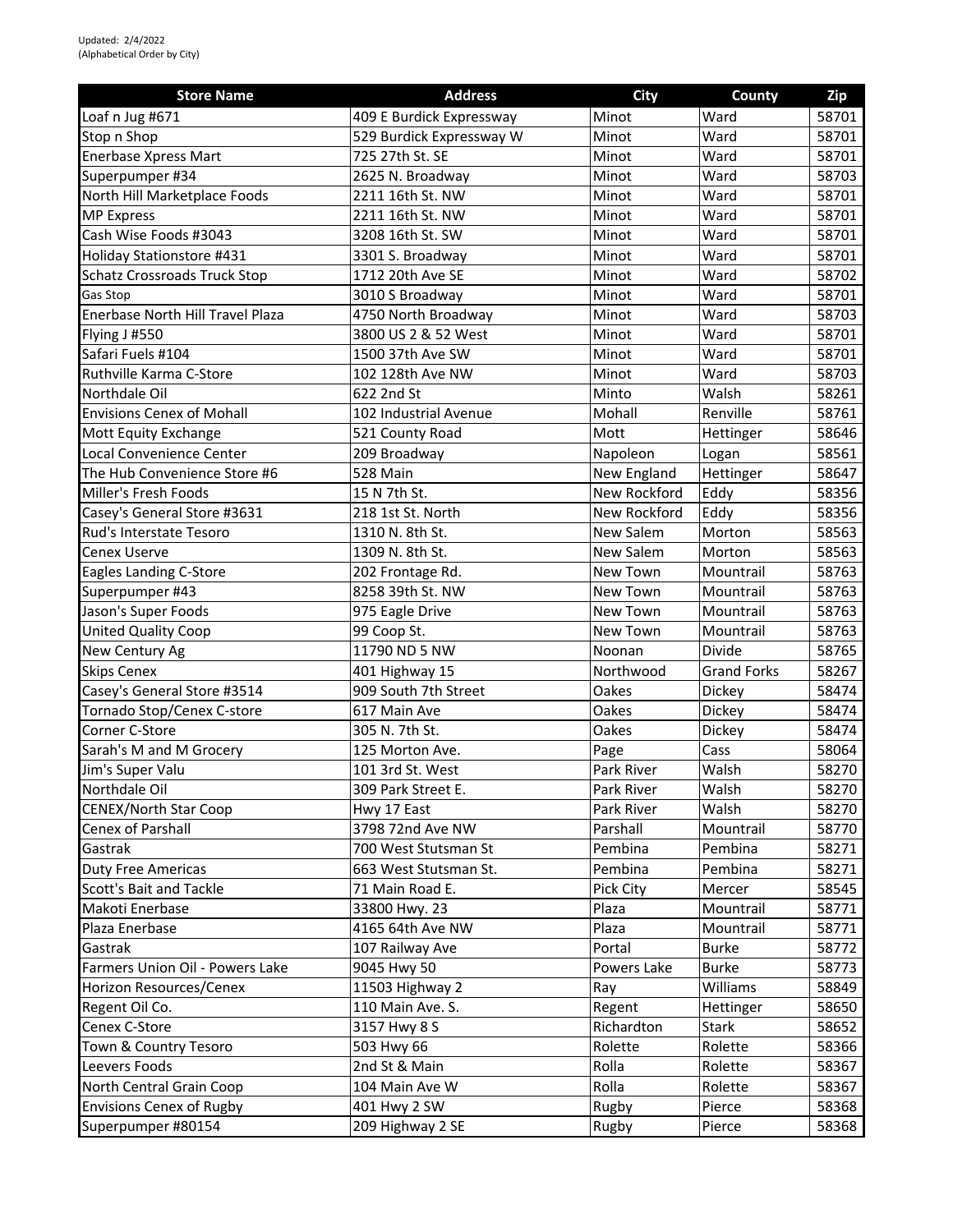| <b>Store Name</b>                   | <b>Address</b>           | <b>City</b>  | County             | Zip   |
|-------------------------------------|--------------------------|--------------|--------------------|-------|
| Loaf n Jug #671                     | 409 E Burdick Expressway | Minot        | Ward               | 58701 |
| Stop n Shop                         | 529 Burdick Expressway W | Minot        | Ward               | 58701 |
| <b>Enerbase Xpress Mart</b>         | 725 27th St. SE          | Minot        | Ward               | 58701 |
| Superpumper #34                     | 2625 N. Broadway         | Minot        | Ward               | 58703 |
| North Hill Marketplace Foods        | 2211 16th St. NW         | Minot        | Ward               | 58701 |
| <b>MP Express</b>                   | 2211 16th St. NW         | Minot        | Ward               | 58701 |
| Cash Wise Foods #3043               | 3208 16th St. SW         | Minot        | Ward               | 58701 |
| Holiday Stationstore #431           | 3301 S. Broadway         | Minot        | Ward               | 58701 |
| <b>Schatz Crossroads Truck Stop</b> | 1712 20th Ave SE         | Minot        | Ward               | 58702 |
| Gas Stop                            | 3010 S Broadway          | Minot        | Ward               | 58701 |
| Enerbase North Hill Travel Plaza    | 4750 North Broadway      | Minot        | Ward               | 58703 |
| Flying J #550                       | 3800 US 2 & 52 West      | Minot        | Ward               | 58701 |
| Safari Fuels #104                   | 1500 37th Ave SW         | Minot        | Ward               | 58701 |
| Ruthville Karma C-Store             | 102 128th Ave NW         | Minot        | Ward               | 58703 |
| Northdale Oil                       | 622 2nd St               | Minto        | Walsh              | 58261 |
| <b>Envisions Cenex of Mohall</b>    | 102 Industrial Avenue    | Mohall       | Renville           | 58761 |
| Mott Equity Exchange                | 521 County Road          | Mott         | Hettinger          | 58646 |
| Local Convenience Center            | 209 Broadway             | Napoleon     | Logan              | 58561 |
| The Hub Convenience Store #6        | 528 Main                 | New England  | Hettinger          | 58647 |
| Miller's Fresh Foods                | 15 N 7th St.             | New Rockford | Eddy               | 58356 |
| Casey's General Store #3631         | 218 1st St. North        | New Rockford | Eddy               | 58356 |
| Rud's Interstate Tesoro             | 1310 N. 8th St.          | New Salem    | Morton             | 58563 |
| Cenex Userve                        | 1309 N. 8th St.          | New Salem    | Morton             | 58563 |
| Eagles Landing C-Store              | 202 Frontage Rd.         | New Town     | Mountrail          | 58763 |
| Superpumper #43                     | 8258 39th St. NW         | New Town     | Mountrail          | 58763 |
| Jason's Super Foods                 | 975 Eagle Drive          | New Town     | Mountrail          | 58763 |
| <b>United Quality Coop</b>          | 99 Coop St.              | New Town     | Mountrail          | 58763 |
| New Century Ag                      | 11790 ND 5 NW            | Noonan       | Divide             | 58765 |
| <b>Skips Cenex</b>                  | 401 Highway 15           | Northwood    | <b>Grand Forks</b> | 58267 |
| Casey's General Store #3514         | 909 South 7th Street     | Oakes        | Dickey             | 58474 |
| Tornado Stop/Cenex C-store          | 617 Main Ave             | Oakes        | Dickey             | 58474 |
| Corner C-Store                      | 305 N. 7th St.           | Oakes        | Dickey             | 58474 |
| Sarah's M and M Grocery             | 125 Morton Ave.          | Page         | Cass               | 58064 |
| Jim's Super Valu                    | 101 3rd St. West         | Park River   | Walsh              | 58270 |
| Northdale Oil                       | 309 Park Street E.       | Park River   | Walsh              | 58270 |
| <b>CENEX/North Star Coop</b>        | Hwy 17 East              | Park River   | Walsh              | 58270 |
| Cenex of Parshall                   | 3798 72nd Ave NW         | Parshall     | Mountrail          | 58770 |
| Gastrak                             | 700 West Stutsman St     | Pembina      | Pembina            | 58271 |
| <b>Duty Free Americas</b>           | 663 West Stutsman St.    | Pembina      | Pembina            | 58271 |
| Scott's Bait and Tackle             | 71 Main Road E.          | Pick City    | Mercer             | 58545 |
| Makoti Enerbase                     | 33800 Hwy. 23            | Plaza        | Mountrail          | 58771 |
| Plaza Enerbase                      | 4165 64th Ave NW         | Plaza        | Mountrail          | 58771 |
| Gastrak                             | 107 Railway Ave          | Portal       | <b>Burke</b>       | 58772 |
| Farmers Union Oil - Powers Lake     | 9045 Hwy 50              | Powers Lake  | <b>Burke</b>       | 58773 |
| Horizon Resources/Cenex             | 11503 Highway 2          | Ray          | Williams           | 58849 |
| Regent Oil Co.                      | 110 Main Ave. S.         | Regent       | Hettinger          | 58650 |
| Cenex C-Store                       | 3157 Hwy 8 S             | Richardton   | <b>Stark</b>       | 58652 |
| Town & Country Tesoro               | 503 Hwy 66               | Rolette      | Rolette            | 58366 |
| Leevers Foods                       | 2nd St & Main            | Rolla        | Rolette            | 58367 |
| North Central Grain Coop            | 104 Main Ave W           | Rolla        | Rolette            | 58367 |
| <b>Envisions Cenex of Rugby</b>     | 401 Hwy 2 SW             | Rugby        | Pierce             | 58368 |
| Superpumper #80154                  | 209 Highway 2 SE         | Rugby        | Pierce             | 58368 |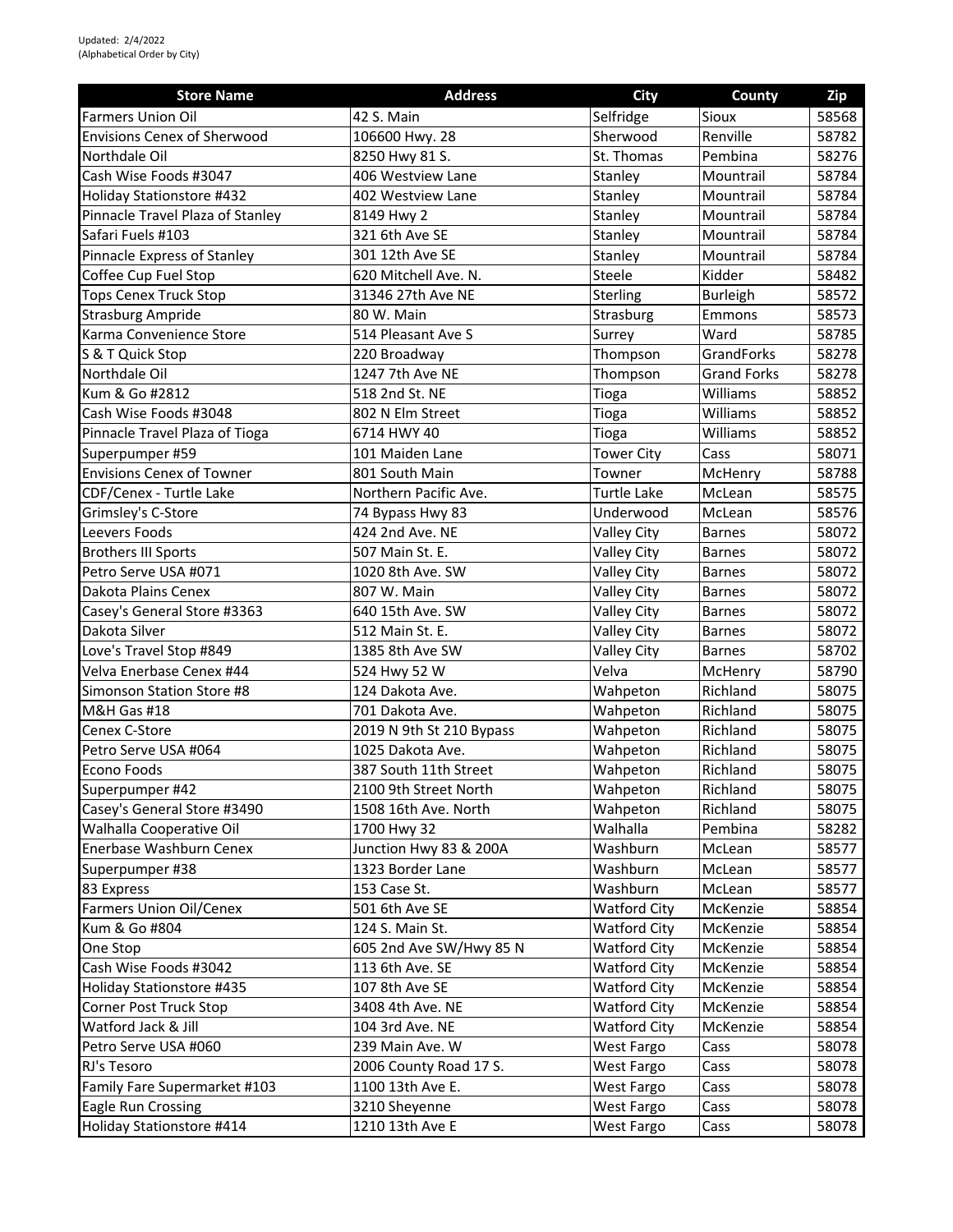| <b>Store Name</b>                  | <b>Address</b>           | <b>City</b>         | County             | Zip   |
|------------------------------------|--------------------------|---------------------|--------------------|-------|
| <b>Farmers Union Oil</b>           | 42 S. Main               | Selfridge           | Sioux              | 58568 |
| <b>Envisions Cenex of Sherwood</b> | 106600 Hwy. 28           | Sherwood            | Renville           | 58782 |
| Northdale Oil                      | 8250 Hwy 81 S.           | St. Thomas          | Pembina            | 58276 |
| Cash Wise Foods #3047              | 406 Westview Lane        | Stanley             | Mountrail          | 58784 |
| Holiday Stationstore #432          | 402 Westview Lane        | Stanley             | Mountrail          | 58784 |
| Pinnacle Travel Plaza of Stanley   | 8149 Hwy 2               | Stanley             | Mountrail          | 58784 |
| Safari Fuels #103                  | 321 6th Ave SE           | Stanley             | Mountrail          | 58784 |
| Pinnacle Express of Stanley        | 301 12th Ave SE          | Stanley             | Mountrail          | 58784 |
| Coffee Cup Fuel Stop               | 620 Mitchell Ave. N.     | Steele              | Kidder             | 58482 |
| <b>Tops Cenex Truck Stop</b>       | 31346 27th Ave NE        | Sterling            | <b>Burleigh</b>    | 58572 |
| <b>Strasburg Ampride</b>           | 80 W. Main               | Strasburg           | Emmons             | 58573 |
| Karma Convenience Store            | 514 Pleasant Ave S       | Surrey              | Ward               | 58785 |
| S & T Quick Stop                   | 220 Broadway             | Thompson            | GrandForks         | 58278 |
| Northdale Oil                      | 1247 7th Ave NE          | Thompson            | <b>Grand Forks</b> | 58278 |
| Kum & Go #2812                     | 518 2nd St. NE           | Tioga               | Williams           | 58852 |
| Cash Wise Foods #3048              | 802 N Elm Street         | Tioga               | Williams           | 58852 |
| Pinnacle Travel Plaza of Tioga     | 6714 HWY 40              | Tioga               | Williams           | 58852 |
| Superpumper #59                    | 101 Maiden Lane          | <b>Tower City</b>   | Cass               | 58071 |
| <b>Envisions Cenex of Towner</b>   | 801 South Main           | Towner              | McHenry            | 58788 |
| CDF/Cenex - Turtle Lake            | Northern Pacific Ave.    | <b>Turtle Lake</b>  | McLean             | 58575 |
| Grimsley's C-Store                 | 74 Bypass Hwy 83         | Underwood           | McLean             | 58576 |
| Leevers Foods                      | 424 2nd Ave. NE          | <b>Valley City</b>  | <b>Barnes</b>      | 58072 |
| <b>Brothers III Sports</b>         | 507 Main St. E.          | <b>Valley City</b>  | <b>Barnes</b>      | 58072 |
| Petro Serve USA #071               | 1020 8th Ave. SW         | Valley City         | <b>Barnes</b>      | 58072 |
| Dakota Plains Cenex                | 807 W. Main              | <b>Valley City</b>  | <b>Barnes</b>      | 58072 |
| Casey's General Store #3363        | 640 15th Ave. SW         | <b>Valley City</b>  | <b>Barnes</b>      | 58072 |
| Dakota Silver                      | 512 Main St. E.          | Valley City         | <b>Barnes</b>      | 58072 |
| Love's Travel Stop #849            | 1385 8th Ave SW          | Valley City         | <b>Barnes</b>      | 58702 |
| Velva Enerbase Cenex #44           | 524 Hwy 52 W             | Velva               | McHenry            | 58790 |
| Simonson Station Store #8          | 124 Dakota Ave.          | Wahpeton            | Richland           | 58075 |
| M&H Gas #18                        | 701 Dakota Ave.          | Wahpeton            | Richland           | 58075 |
| Cenex C-Store                      | 2019 N 9th St 210 Bypass | Wahpeton            | Richland           | 58075 |
| Petro Serve USA #064               | 1025 Dakota Ave.         | Wahpeton            | Richland           | 58075 |
| <b>Econo Foods</b>                 | 387 South 11th Street    | Wahpeton            | Richland           | 58075 |
| Superpumper #42                    | 2100 9th Street North    | Wahpeton            | Richland           | 58075 |
| Casey's General Store #3490        | 1508 16th Ave. North     | Wahpeton            | Richland           | 58075 |
| Walhalla Cooperative Oil           | 1700 Hwy 32              | Walhalla            | Pembina            | 58282 |
| Enerbase Washburn Cenex            | Junction Hwy 83 & 200A   | Washburn            | McLean             | 58577 |
| Superpumper #38                    | 1323 Border Lane         | Washburn            | McLean             | 58577 |
| 83 Express                         | 153 Case St.             | Washburn            | McLean             | 58577 |
| <b>Farmers Union Oil/Cenex</b>     | 501 6th Ave SE           | <b>Watford City</b> | McKenzie           | 58854 |
| Kum & Go #804                      | 124 S. Main St.          | <b>Watford City</b> | McKenzie           | 58854 |
| One Stop                           | 605 2nd Ave SW/Hwy 85 N  | <b>Watford City</b> | McKenzie           | 58854 |
| Cash Wise Foods #3042              | 113 6th Ave. SE          | <b>Watford City</b> | McKenzie           | 58854 |
| Holiday Stationstore #435          | 107 8th Ave SE           | <b>Watford City</b> | McKenzie           | 58854 |
| Corner Post Truck Stop             | 3408 4th Ave. NE         | <b>Watford City</b> | McKenzie           | 58854 |
| Watford Jack & Jill                | 104 3rd Ave. NE          | <b>Watford City</b> | McKenzie           | 58854 |
| Petro Serve USA #060               | 239 Main Ave. W          | West Fargo          | Cass               | 58078 |
| RJ's Tesoro                        | 2006 County Road 17 S.   | West Fargo          | Cass               | 58078 |
| Family Fare Supermarket #103       | 1100 13th Ave E.         | West Fargo          | Cass               | 58078 |
| Eagle Run Crossing                 | 3210 Sheyenne            | West Fargo          | Cass               | 58078 |
|                                    | 1210 13th Ave E          |                     |                    | 58078 |
| Holiday Stationstore #414          |                          | West Fargo          | Cass               |       |